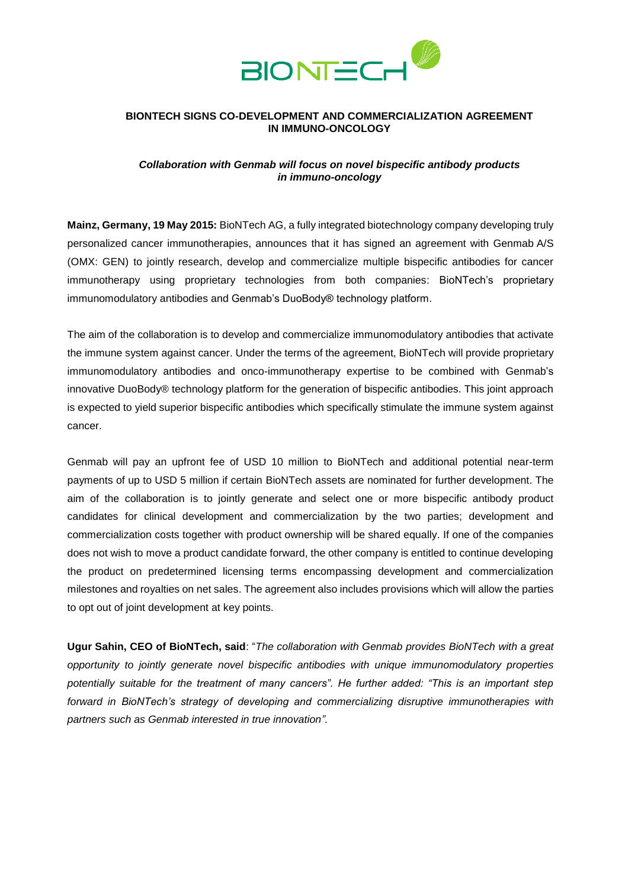

### **BIONTECH SIGNS CO-DEVELOPMENT AND COMMERCIALIZATION AGREEMENT IN IMMUNO-ONCOLOGY**

# *Collaboration with Genmab will focus on novel bispecific antibody products in immuno-oncology*

**Mainz, Germany, 19 May 2015:** BioNTech AG, a fully integrated biotechnology company developing truly personalized cancer immunotherapies, announces that it has signed an agreement with Genmab A/S (OMX: GEN) to jointly research, develop and commercialize multiple bispecific antibodies for cancer immunotherapy using proprietary technologies from both companies: BioNTech's proprietary immunomodulatory antibodies and Genmab's DuoBody® technology platform.

The aim of the collaboration is to develop and commercialize immunomodulatory antibodies that activate the immune system against cancer. Under the terms of the agreement, BioNTech will provide proprietary immunomodulatory antibodies and onco-immunotherapy expertise to be combined with Genmab's innovative DuoBody® technology platform for the generation of bispecific antibodies. This joint approach is expected to yield superior bispecific antibodies which specifically stimulate the immune system against cancer.

Genmab will pay an upfront fee of USD 10 million to BioNTech and additional potential near-term payments of up to USD 5 million if certain BioNTech assets are nominated for further development. The aim of the collaboration is to jointly generate and select one or more bispecific antibody product candidates for clinical development and commercialization by the two parties; development and commercialization costs together with product ownership will be shared equally. If one of the companies does not wish to move a product candidate forward, the other company is entitled to continue developing the product on predetermined licensing terms encompassing development and commercialization milestones and royalties on net sales. The agreement also includes provisions which will allow the parties to opt out of joint development at key points.

**Ugur Sahin, CEO of BioNTech, said**: "*The collaboration with Genmab provides BioNTech with a great opportunity to jointly generate novel bispecific antibodies with unique immunomodulatory properties potentially suitable for the treatment of many cancers". He further added: "This is an important step forward in BioNTech's strategy of developing and commercializing disruptive immunotherapies with partners such as Genmab interested in true innovation".*